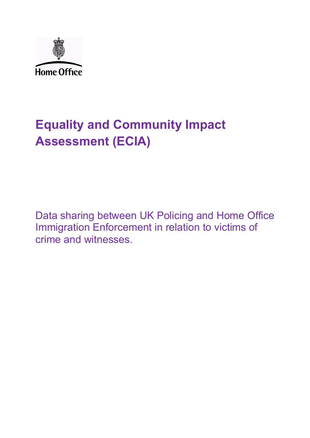

# **Equality and Community Impact Assessment (ECIA)**

Data sharing between UK Policing and Home Office Immigration Enforcement in relation to victims of crime and witnesses.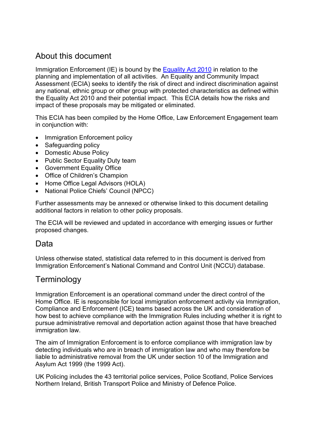### About this document

Immigration Enforcement (IE) is bound by the [Equality Act 2010](http://www.legislation.gov.uk/ukpga/2010/15/contents) in relation to the planning and implementation of all activities. An Equality and Community Impact Assessment (ECIA) seeks to identify the risk of direct and indirect discrimination against any national, ethnic group or other group with protected characteristics as defined within the Equality Act 2010 and their potential impact. This ECIA details how the risks and impact of these proposals may be mitigated or eliminated.

This ECIA has been compiled by the Home Office, Law Enforcement Engagement team in conjunction with:

- Immigration Enforcement policy
- Safeguarding policy
- Domestic Abuse Policy
- Public Sector Equality Duty team
- Government Equality Office
- Office of Children's Champion
- Home Office Legal Advisors (HOLA)
- National Police Chiefs' Council (NPCC)

Further assessments may be annexed or otherwise linked to this document detailing additional factors in relation to other policy proposals.

The ECIA will be reviewed and updated in accordance with emerging issues or further proposed changes.

### Data

Unless otherwise stated, statistical data referred to in this document is derived from Immigration Enforcement's National Command and Control Unit (NCCU) database.

### **Terminology**

Immigration Enforcement is an operational command under the direct control of the Home Office. IE is responsible for local immigration enforcement activity via Immigration, Compliance and Enforcement (ICE) teams based across the UK and consideration of how best to achieve compliance with the Immigration Rules including whether it is right to pursue administrative removal and deportation action against those that have breached immigration law.

The aim of Immigration Enforcement is to enforce compliance with immigration law by detecting individuals who are in breach of immigration law and who may therefore be liable to administrative removal from the UK under section 10 of the Immigration and Asylum Act 1999 (the 1999 Act).

UK Policing includes the 43 territorial police services, Police Scotland, Police Services Northern Ireland, British Transport Police and Ministry of Defence Police.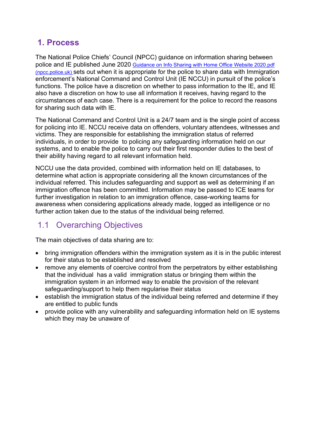### **1. Process**

The National Police Chiefs' Council (NPCC) guidance on information sharing between police and IE published June 2020 [Guidance on Info Sharing with Home Office](https://www.npcc.police.uk/Guidance%20on%20Info%20Sharing%20with%20Home%20Office_Website%202020.pdf) Website 2020.pdf [\(npcc.police.uk\)](https://www.npcc.police.uk/Guidance%20on%20Info%20Sharing%20with%20Home%20Office_Website%202020.pdf) sets out when it is appropriate for the police to share data with Immigration enforcement's National Command and Control Unit (IE NCCU) in pursuit of the police's functions. The police have a discretion on whether to pass information to the IE, and IE also have a discretion on how to use all information it receives, having regard to the circumstances of each case. There is a requirement for the police to record the reasons for sharing such data with IE.

The National Command and Control Unit is a 24/7 team and is the single point of access for policing into IE. NCCU receive data on offenders, voluntary attendees, witnesses and victims. They are responsible for establishing the immigration status of referred individuals, in order to provide to policing any safeguarding information held on our systems, and to enable the police to carry out their first responder duties to the best of their ability having regard to all relevant information held.

NCCU use the data provided, combined with information held on IE databases, to determine what action is appropriate considering all the known circumstances of the individual referred. This includes safeguarding and support as well as determining if an immigration offence has been committed. Information may be passed to ICE teams for further investigation in relation to an immigration offence, case-working teams for awareness when considering applications already made, logged as intelligence or no further action taken due to the status of the individual being referred.

## 1.1 Overarching Objectives

The main objectives of data sharing are to:

- bring immigration offenders within the immigration system as it is in the public interest for their status to be established and resolved
- remove any elements of coercive control from the perpetrators by either establishing that the individual has a valid immigration status or bringing them within the immigration system in an informed way to enable the provision of the relevant safeguarding/support to help them regularise their status
- establish the immigration status of the individual being referred and determine if they are entitled to public funds
- provide police with any vulnerability and safeguarding information held on IE systems which they may be unaware of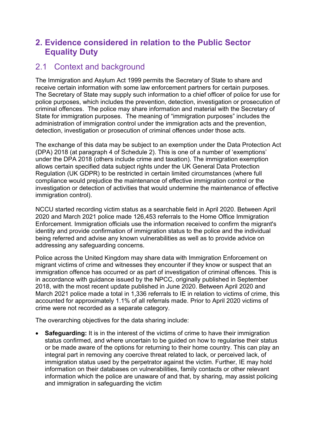# **2. Evidence considered in relation to the Public Sector Equality Duty**

### 2.1 Context and background

The Immigration and Asylum Act 1999 permits the Secretary of State to share and receive certain information with some law enforcement partners for certain purposes. The Secretary of State may supply such information to a chief officer of police for use for police purposes, which includes the prevention, detection, investigation or prosecution of criminal offences. The police may share information and material with the Secretary of State for immigration purposes. The meaning of "immigration purposes" includes the administration of immigration control under the immigration acts and the prevention, detection, investigation or prosecution of criminal offences under those acts.

The exchange of this data may be subject to an exemption under the Data Protection Act (DPA) 2018 (at paragraph 4 of Schedule 2). This is one of a number of 'exemptions' under the DPA 2018 (others include crime and taxation). The immigration exemption allows certain specified data subject rights under the UK General Data Protection Regulation (UK GDPR) to be restricted in certain limited circumstances (where full compliance would prejudice the maintenance of effective immigration control or the investigation or detection of activities that would undermine the maintenance of effective immigration control).

NCCU started recording victim status as a searchable field in April 2020. Between April 2020 and March 2021 police made 126,453 referrals to the Home Office Immigration Enforcement. Immigration officials use the information received to confirm the migrant's identity and provide confirmation of immigration status to the police and the individual being referred and advise any known vulnerabilities as well as to provide advice on addressing any safeguarding concerns.

Police across the United Kingdom may share data with Immigration Enforcement on migrant victims of crime and witnesses they encounter if they know or suspect that an immigration offence has occurred or as part of investigation of criminal offences. This is in accordance with guidance issued by the NPCC, originally published in September 2018, with the most recent update published in June 2020. Between April 2020 and March 2021 police made a total in 1,336 referrals to IE in relation to victims of crime, this accounted for approximately 1.1% of all referrals made. Prior to April 2020 victims of crime were not recorded as a separate category.

The overarching objectives for the data sharing include:

**Safeguarding:** It is in the interest of the victims of crime to have their immigration status confirmed, and where uncertain to be guided on how to regularise their status or be made aware of the options for returning to their home country. This can play an integral part in removing any coercive threat related to lack, or perceived lack, of immigration status used by the perpetrator against the victim. Further, IE may hold information on their databases on vulnerabilities, family contacts or other relevant information which the police are unaware of and that, by sharing, may assist policing and immigration in safeguarding the victim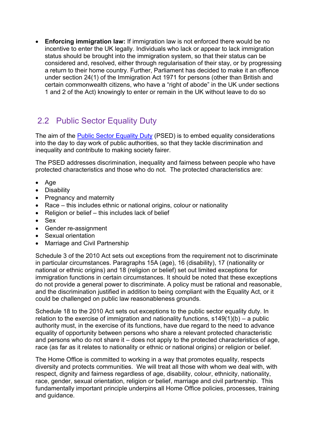• **Enforcing immigration law:** If immigration law is not enforced there would be no incentive to enter the UK legally. Individuals who lack or appear to lack immigration status should be brought into the immigration system, so that their status can be considered and, resolved, either through regularisation of their stay, or by progressing a return to their home country. Further, Parliament has decided to make it an offence under section 24(1) of the Immigration Act 1971 for persons (other than British and certain commonwealth citizens, who have a "right of abode" in the UK under sections 1 and 2 of the Act) knowingly to enter or remain in the UK without leave to do so

# 2.2 Public Sector Equality Duty

The aim of the [Public Sector Equality Duty](https://www.gov.uk/government/publications/public-sector-equality-duty) (PSED) is to embed equality considerations into the day to day work of public authorities, so that they tackle discrimination and inequality and contribute to making society fairer.

The PSED addresses discrimination, inequality and fairness between people who have protected characteristics and those who do not. The protected characteristics are:

- Age
- Disability
- Pregnancy and maternity
- Race this includes ethnic or national origins, colour or nationality
- Religion or belief this includes lack of belief
- Sex
- Gender re-assignment
- Sexual orientation
- Marriage and Civil Partnership

Schedule 3 of the 2010 Act sets out exceptions from the requirement not to discriminate in particular circumstances. Paragraphs 15A (age), 16 (disability), 17 (nationality or national or ethnic origins) and 18 (religion or belief) set out limited exceptions for immigration functions in certain circumstances. It should be noted that these exceptions do not provide a general power to discriminate. A policy must be rational and reasonable, and the discrimination justified in addition to being compliant with the Equality Act, or it could be challenged on public law reasonableness grounds.

Schedule 18 to the 2010 Act sets out exceptions to the public sector equality duty. In relation to the exercise of immigration and nationality functions, s149(1)(b) – a public authority must, in the exercise of its functions, have due regard to the need to advance equality of opportunity between persons who share a relevant protected characteristic and persons who do not share it  $-$  does not apply to the protected characteristics of age, race (as far as it relates to nationality or ethnic or national origins) or religion or belief.

The Home Office is committed to working in a way that promotes equality, respects diversity and protects communities. We will treat all those with whom we deal with, with respect, dignity and fairness regardless of age, disability, colour, ethnicity, nationality, race, gender, sexual orientation, religion or belief, marriage and civil partnership. This fundamentally important principle underpins all Home Office policies, processes, training and guidance.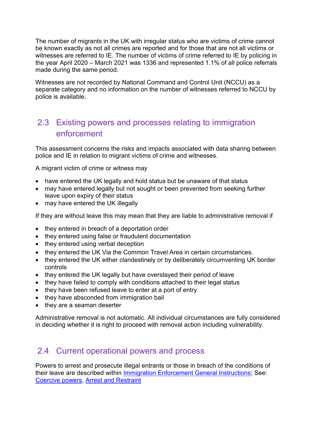The number of migrants in the UK with irregular status who are victims of crime cannot be known exactly as not all crimes are reported and for those that are not all victims or witnesses are referred to IE. The number of victims of crime referred to IE by policing in the year April 2020 – March 2021 was 1336 and represented 1.1% of all police referrals made during the same period.

Witnesses are not recorded by National Command and Control Unit (NCCU) as a separate category and no information on the number of witnesses referred to NCCU by police is available.

# 2.3 Existing powers and processes relating to immigration enforcement

This assessment concerns the risks and impacts associated with data sharing between police and IE in relation to migrant victims of crime and witnesses.

A migrant victim of crime or witness may

- have entered the UK legally and hold status but be unaware of that status
- may have entered legally but not sought or been prevented from seeking further leave upon expiry of their status
- may have entered the UK illegally

If they are without leave this may mean that they are liable to administrative removal if

- they entered in breach of a deportation order
- they entered using false or fraudulent documentation
- they entered using verbal deception
- they entered the UK Via the Common Travel Area in certain circumstances.
- they entered the UK either clandestinely or by deliberately circumventing UK border controls
- they entered the UK legally but have overstayed their period of leave
- they have failed to comply with conditions attached to their legal status
- they have been refused leave to enter at a port of entry
- they have absconded from immigration bail
- they are a seaman deserter

Administrative removal is not automatic. All individual circumstances are fully considered in deciding whether it is right to proceed with removal action including vulnerability.

### 2.4 Current operational powers and process

Powers to arrest and prosecute illegal entrants or those in breach of the conditions of their leave are described within [Immigration Enforcement General Instructions;](https://www.gov.uk/government/collections/enforcement-instructions-and-guidance) See: [Coercive powers,](https://assets.publishing.service.gov.uk/government/uploads/system/uploads/attachment_data/file/511251/Coercive_powers_v1.0.pdf) [Arrest and Restraint](https://assets.publishing.service.gov.uk/government/uploads/system/uploads/attachment_data/file/537682/Arrest-and-restraint-v1.pdf)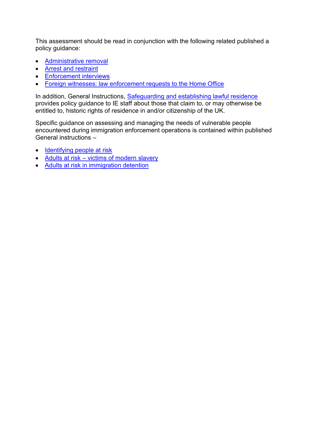This assessment should be read in conjunction with the following related published a policy guidance:

- [Administrative removal](https://assets.publishing.service.gov.uk/government/uploads/system/uploads/attachment_data/file/606982/GI-Non-EEA-admin-removal-v3.pdf)
- [Arrest and restraint](https://assets.publishing.service.gov.uk/government/uploads/system/uploads/attachment_data/file/537682/Arrest-and-restraint-v1.pdf)
- [Enforcement interviews](https://assets.publishing.service.gov.uk/government/uploads/system/uploads/attachment_data/file/947295/enforcement-interviews-v2.0ext.pdf)
- [Foreign witnesses: law enforcement requests to the Home Office](https://assets.publishing.service.gov.uk/government/uploads/system/uploads/attachment_data/file/953973/foreign-witness-guidance-v2.0-gov.uk.pdf)

In addition, General Instructions, [Safeguarding and establishing lawful residence](https://assets.publishing.service.gov.uk/government/uploads/system/uploads/attachment_data/file/772983/safeguarding-and-establishing-lawful-residence-v1.0ext.pdf) provides policy guidance to IE staff about those that claim to, or may otherwise be entitled to, historic rights of residence in and/or citizenship of the UK.

Specific guidance on assessing and managing the needs of vulnerable people encountered during immigration enforcement operations is contained within published General instructions –

- [Identifying people at risk](https://assets.publishing.service.gov.uk/government/uploads/system/uploads/attachment_data/file/866071/identifying-people-at-risk-_enforcement_-v2.0_ext.pdf)
- Adults at risk [victims of modern slavery](https://assets.publishing.service.gov.uk/government/uploads/system/uploads/attachment_data/file/1031899/Adults_at_risk_Detention_of_victims_of_modern_slavery.pdf)
- [Adults at risk in immigration detention](https://assets.publishing.service.gov.uk/government/uploads/system/uploads/attachment_data/file/1031900/Adults_at_risk_in_immigration_detention.pdf)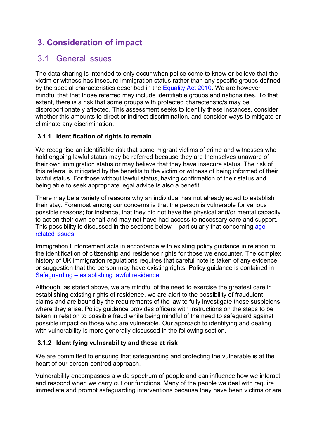# **3. Consideration of impact**

### 3.1 General issues

The data sharing is intended to only occur when police come to know or believe that the victim or witness has insecure immigration status rather than any specific groups defined by the special characteristics described in the [Equality Act 2010.](http://www.legislation.gov.uk/ukpga/2010/15/contents) We are however mindful that that those referred may include identifiable groups and nationalities. To that extent, there is a risk that some groups with protected characteristic/s may be disproportionately affected. This assessment seeks to identify these instances, consider whether this amounts to direct or indirect discrimination, and consider ways to mitigate or eliminate any discrimination.

#### **3.1.1 Identification of rights to remain**

We recognise an identifiable risk that some migrant victims of crime and witnesses who hold ongoing lawful status may be referred because they are themselves unaware of their own immigration status or may believe that they have insecure status. The risk of this referral is mitigated by the benefits to the victim or witness of being informed of their lawful status. For those without lawful status, having confirmation of their status and being able to seek appropriate legal advice is also a benefit.

There may be a variety of reasons why an individual has not already acted to establish their stay. Foremost among our concerns is that the person is vulnerable for various possible reasons; for instance, that they did not have the physical and/or mental capacity to act on their own behalf and may not have had access to necessary care and support. This possibility is discussed in the sections below – particularly that concerning age [related issues](#page-10-0)

Immigration Enforcement acts in accordance with existing policy guidance in relation to the identification of citizenship and residence rights for those we encounter. The complex history of UK immigration regulations requires that careful note is taken of any evidence or suggestion that the person may have existing rights. Policy guidance is contained in [Safeguarding](https://assets.publishing.service.gov.uk/government/uploads/system/uploads/attachment_data/file/772983/safeguarding-and-establishing-lawful-residence-v1.0ext.pdf) – establishing lawful residence

Although, as stated above, we are mindful of the need to exercise the greatest care in establishing existing rights of residence, we are alert to the possibility of fraudulent claims and are bound by the requirements of the law to fully investigate those suspicions where they arise. Policy guidance provides officers with instructions on the steps to be taken in relation to possible fraud while being mindful of the need to safeguard against possible impact on those who are vulnerable. Our approach to identifying and dealing with vulnerability is more generally discussed in the following section.

#### <span id="page-7-0"></span>**3.1.2 Identifying vulnerability and those at risk**

We are committed to ensuring that safeguarding and protecting the vulnerable is at the heart of our person-centred approach.

Vulnerability encompasses a wide spectrum of people and can influence how we interact and respond when we carry out our functions. Many of the people we deal with require immediate and prompt safeguarding interventions because they have been victims or are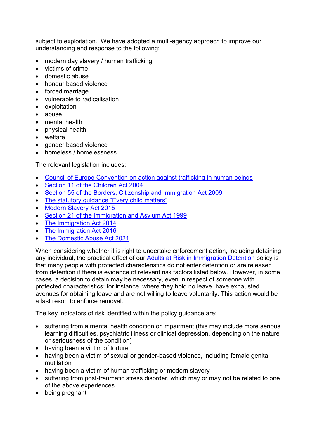subject to exploitation. We have adopted a multi-agency approach to improve our understanding and response to the following:

- modern day slavery / human trafficking
- victims of crime
- domestic abuse
- honour based violence
- forced marriage
- vulnerable to radicalisation
- **exploitation**
- abuse
- mental health
- physical health
- welfare
- gender based violence
- homeless / homelessness

The relevant legislation includes:

- [Council of Europe Convention on action against trafficking in human beings](https://assets.publishing.service.gov.uk/government/uploads/system/uploads/attachment_data/file/236093/8414.pdf)
- [Section 11 of the Children Act 2004](https://www.legislation.gov.uk/ukpga/2004/31/section/11)
- [Section 55 of the Borders, Citizenship and Immigration Act 2009](https://www.legislation.gov.uk/ukpga/2009/11/section/55)
- [The statutory guidance "Every child matters"](https://www.gov.uk/government/publications/every-child-matters-statutory-guidance)
- [Modern Slavery Act 2015](https://www.legislation.gov.uk/ukpga/2015/30/contents/enacted)
- [Section 21 of the Immigration and Asylum Act 1999](https://www.legislation.gov.uk/ukpga/1999/33/section/21)
- [The Immigration Act 2014](https://www.legislation.gov.uk/ukpga/2014/22/contents/enacted)
- [The Immigration Act](https://www.legislation.gov.uk/ukpga/2016/19/contents/enacted) 2016
- [The Domestic Abuse Act 2021](https://www.legislation.gov.uk/ukpga/2021/17/contents)

When considering whether it is right to undertake enforcement action, including detaining any individual, the practical effect of our [Adults at Risk in Immigration Detention](https://assets.publishing.service.gov.uk/government/uploads/system/uploads/attachment_data/file/919791/adults-at-risk-policy-v5.0ext.pdf) policy is that many people with protected characteristics do not enter detention or are released from detention if there is evidence of relevant risk factors listed below. However, in some cases, a decision to detain may be necessary, even in respect of someone with protected characteristics; for instance, where they hold no leave, have exhausted avenues for obtaining leave and are not willing to leave voluntarily. This action would be a last resort to enforce removal.

The key indicators of risk identified within the policy guidance are:

- suffering from a mental health condition or impairment (this may include more serious learning difficulties, psychiatric illness or clinical depression, depending on the nature or seriousness of the condition)
- having been a victim of torture
- having been a victim of sexual or gender-based violence, including female genital mutilation
- having been a victim of human trafficking or modern slavery
- suffering from post-traumatic stress disorder, which may or may not be related to one of the above experiences
- being pregnant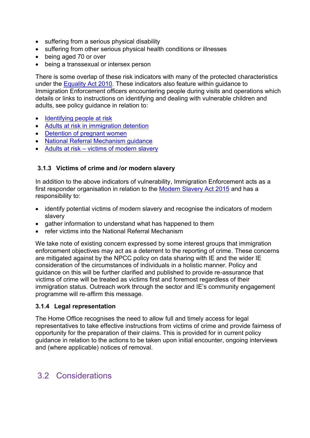- suffering from a serious physical disability
- suffering from other serious physical health conditions or illnesses
- being aged 70 or over
- being a transsexual or intersex person

There is some overlap of these risk indicators with many of the protected characteristics under the [Equality Act 2010.](http://www.legislation.gov.uk/ukpga/2010/15/contents) These indicators also feature within guidance to Immigration Enforcement officers encountering people during visits and operations which details or links to instructions on identifying and dealing with vulnerable children and adults, see policy guidance in relation to:

- [Identifying people at risk](https://assets.publishing.service.gov.uk/government/uploads/system/uploads/attachment_data/file/866071/identifying-people-at-risk-_enforcement_-v2.0_ext.pdf)
- [Adults at risk in immigration detention](https://assets.publishing.service.gov.uk/government/uploads/system/uploads/attachment_data/file/919791/adults-at-risk-policy-v5.0ext.pdf)
- [Detention of pregnant women](https://assets.publishing.service.gov.uk/government/uploads/system/uploads/attachment_data/file/653012/Chapter_55a_Detention_of_pregnant_women_v1.pdf)
- [National Referral Mechanism guidance](https://www.gov.uk/government/publications/human-trafficking-victims-referral-and-assessment-forms/guidance-on-the-national-referral-mechanism-for-potential-adult-victims-of-modern-slavery-england-and-wales#first-responder-organisations)
- Adults at risk [victims of modern slavery](https://assets.publishing.service.gov.uk/government/uploads/system/uploads/attachment_data/file/1031899/Adults_at_risk_Detention_of_victims_of_modern_slavery.pdf)

#### **3.1.3 Victims of crime and /or modern slavery**

In addition to the above indicators of vulnerability, Immigration Enforcement acts as a first responder organisation in relation to the [Modern Slavery Act](https://www.legislation.gov.uk/ukpga/2015/30/contents/enacted) 2015 and has a responsibility to:

- identify potential victims of modern slavery and recognise the indicators of modern slavery
- gather information to understand what has happened to them
- refer victims into the National Referral Mechanism

We take note of existing concern expressed by some interest groups that immigration enforcement objectives may act as a deterrent to the reporting of crime. These concerns are mitigated against by the NPCC policy on data sharing with IE and the wider IE consideration of the circumstances of individuals in a holistic manner. Policy and guidance on this will be further clarified and published to provide re-assurance that victims of crime will be treated as victims first and foremost regardless of their immigration status. Outreach work through the sector and IE's community engagement programme will re-affirm this message.

#### **3.1.4 Legal representation**

The Home Office recognises the need to allow full and timely access for legal representatives to take effective instructions from victims of crime and provide fairness of opportunity for the preparation of their claims. This is provided for in current policy guidance in relation to the actions to be taken upon initial encounter, ongoing interviews and (where applicable) notices of removal.

### 3.2 Considerations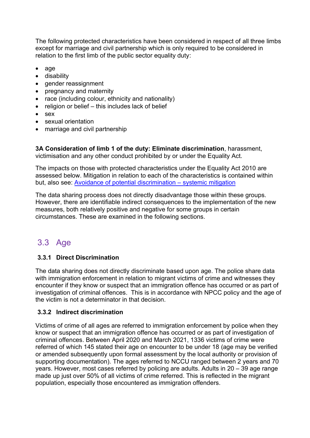The following protected characteristics have been considered in respect of all three limbs except for marriage and civil partnership which is only required to be considered in relation to the first limb of the public sector equality duty:

- age
- disability
- gender reassignment
- pregnancy and maternity
- race (including colour, ethnicity and nationality)
- religion or belief this includes lack of belief
- sex
- sexual orientation
- marriage and civil partnership

**3A Consideration of limb 1 of the duty: Eliminate discrimination**, harassment, victimisation and any other conduct prohibited by or under the Equality Act.

The impacts on those with protected characteristics under the Equality Act 2010 are assessed below. Mitigation in relation to each of the characteristics is contained within but, also see: [Avoidance of potential discrimination](#page-21-0) – systemic mitigation

The data sharing process does not directly disadvantage those within these groups. However, there are identifiable indirect consequences to the implementation of the new measures, both relatively positive and negative for some groups in certain circumstances. These are examined in the following sections.

# <span id="page-10-0"></span>3.3 Age

### **3.3.1 Direct Discrimination**

The data sharing does not directly discriminate based upon age. The police share data with immigration enforcement in relation to migrant victims of crime and witnesses they encounter if they know or suspect that an immigration offence has occurred or as part of investigation of criminal offences. This is in accordance with NPCC policy and the age of the victim is not a determinator in that decision.

#### **3.3.2 Indirect discrimination**

Victims of crime of all ages are referred to immigration enforcement by police when they know or suspect that an immigration offence has occurred or as part of investigation of criminal offences. Between April 2020 and March 2021, 1336 victims of crime were referred of which 145 stated their age on encounter to be under 18 (age may be verified or amended subsequently upon formal assessment by the local authority or provision of supporting documentation). The ages referred to NCCU ranged between 2 years and 70 years. However, most cases referred by policing are adults. Adults in 20 – 39 age range made up just over 50% of all victims of crime referred. This is reflected in the migrant population, especially those encountered as immigration offenders.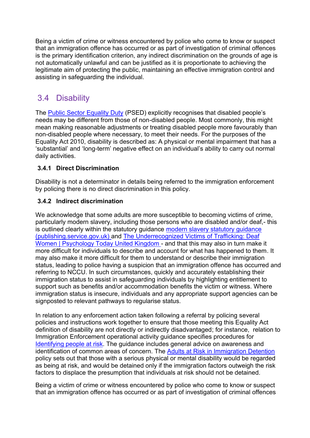Being a victim of crime or witness encountered by police who come to know or suspect that an immigration offence has occurred or as part of investigation of criminal offences is the primary identification criterion, any indirect discrimination on the grounds of age is not automatically unlawful and can be justified as it is proportionate to achieving the legitimate aim of protecting the public, maintaining an effective immigration control and assisting in safeguarding the individual.

# 3.4 Disability

The [Public Sector Equality Duty](https://www.gov.uk/government/publications/public-sector-equality-duty) (PSED) explicitly recognises that disabled people's needs may be different from those of non-disabled people. Most commonly, this might mean making reasonable adjustments or treating disabled people more favourably than non-disabled people where necessary, to meet their needs. For the purposes of the Equality Act 2010, disability is described as: A physical or mental impairment that has a 'substantial' and 'long-term' negative effect on an individual's ability to carry out normal daily activities.

#### **3.4.1 Direct Discrimination**

Disability is not a determinator in details being referred to the immigration enforcement by policing there is no direct discrimination in this policy.

#### **3.4.2 Indirect discrimination**

We acknowledge that some adults are more susceptible to becoming victims of crime, particularly modern slavery, including those persons who are disabled and/or deaf,- this is outlined clearly within the statutory guidance [modern slavery statutory guidance](https://assets.publishing.service.gov.uk/government/uploads/system/uploads/attachment_data/file/1023711/DRAFT_-_Modern_Slavery_Statutory_Guidance__EW__Non-Statutory_Guidance__SNI__v2.4_.pdf)  [\(publishing.service.gov.uk\)](https://assets.publishing.service.gov.uk/government/uploads/system/uploads/attachment_data/file/1023711/DRAFT_-_Modern_Slavery_Statutory_Guidance__EW__Non-Statutory_Guidance__SNI__v2.4_.pdf) and [The Underrecognized Victims of Trafficking: Deaf](https://www.psychologytoday.com/gb/blog/modern-day-slavery/201709/the-underrecognized-victims-trafficking-deaf-women)  [Women | Psychology Today United Kingdom](https://www.psychologytoday.com/gb/blog/modern-day-slavery/201709/the-underrecognized-victims-trafficking-deaf-women) - and that this may also in turn make it more difficult for individuals to describe and account for what has happened to them. It may also make it more difficult for them to understand or describe their immigration status, leading to police having a suspicion that an immigration offence has occurred and referring to NCCU. In such circumstances, quickly and accurately establishing their immigration status to assist in safeguarding individuals by highlighting entitlement to support such as benefits and/or accommodation benefits the victim or witness. Where immigration status is insecure, individuals and any appropriate support agencies can be signposted to relevant pathways to regularise status.

In relation to any enforcement action taken following a referral by policing several policies and instructions work together to ensure that those meeting this Equality Act definition of disability are not directly or indirectly disadvantaged; for instance, relation to Immigration Enforcement operational activity guidance specifies procedures for [Identifying people at risk.](https://assets.publishing.service.gov.uk/government/uploads/system/uploads/attachment_data/file/866071/identifying-people-at-risk-_enforcement_-v2.0_ext.pdf) The guidance includes general advice on awareness and identification of common areas of concern. The [Adults at Risk in Immigration Detention](https://www.gov.uk/government/publications/adults-at-risk-in-immigration-detention) policy sets out that those with a serious physical or mental disability would be regarded as being at risk, and would be detained only if the immigration factors outweigh the risk factors to displace the presumption that individuals at risk should not be detained.

Being a victim of crime or witness encountered by police who come to know or suspect that an immigration offence has occurred or as part of investigation of criminal offences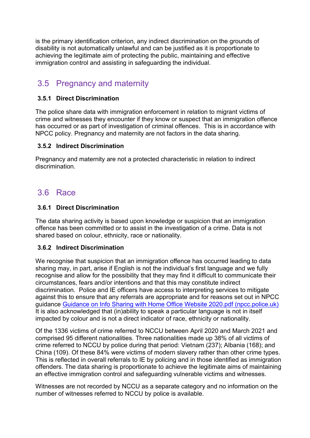is the primary identification criterion, any indirect discrimination on the grounds of disability is not automatically unlawful and can be justified as it is proportionate to achieving the legitimate aim of protecting the public, maintaining and effective immigration control and assisting in safeguarding the individual.

## 3.5 Pregnancy and maternity

#### **3.5.1 Direct Discrimination**

The police share data with immigration enforcement in relation to migrant victims of crime and witnesses they encounter if they know or suspect that an immigration offence has occurred or as part of investigation of criminal offences. This is in accordance with NPCC policy. Pregnancy and maternity are not factors in the data sharing.

#### **3.5.2 Indirect Discrimination**

Pregnancy and maternity are not a protected characteristic in relation to indirect discrimination.

### 3.6 Race

#### **3.6.1 Direct Discrimination**

The data sharing activity is based upon knowledge or suspicion that an immigration offence has been committed or to assist in the investigation of a crime. Data is not shared based on colour, ethnicity, race or nationality.

#### **3.6.2 Indirect Discrimination**

We recognise that suspicion that an immigration offence has occurred leading to data sharing may, in part, arise if English is not the individual's first language and we fully recognise and allow for the possibility that they may find it difficult to communicate their circumstances, fears and/or intentions and that this may constitute indirect discrimination. Police and IE officers have access to interpreting services to mitigate against this to ensure that any referrals are appropriate and for reasons set out in NPCC guidance [Guidance on Info Sharing with Home Office](https://www.npcc.police.uk/Guidance%20on%20Info%20Sharing%20with%20Home%20Office_Website%202020.pdf) Website 2020.pdf (npcc.police.uk) It is also acknowledged that (in)ability to speak a particular language is not in itself impacted by colour and is not a direct indicator of race, ethnicity or nationality.

Of the 1336 victims of crime referred to NCCU between April 2020 and March 2021 and comprised 95 different nationalities. Three nationalities made up 38% of all victims of crime referred to NCCU by police during that period: Vietnam (237); Albania (168); and China (109). Of these 84% were victims of modern slavery rather than other crime types. This is reflected in overall referrals to IE by policing and in those identified as immigration offenders. The data sharing is proportionate to achieve the legitimate aims of maintaining an effective immigration control and safeguarding vulnerable victims and witnesses.

Witnesses are not recorded by NCCU as a separate category and no information on the number of witnesses referred to NCCU by police is available.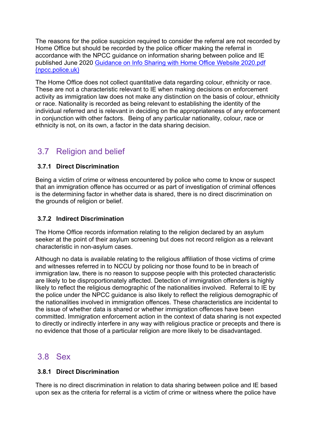The reasons for the police suspicion required to consider the referral are not recorded by Home Office but should be recorded by the police officer making the referral in accordance with the NPCC guidance on information sharing between police and IE published June 2020 [Guidance on Info Sharing with Home Office](https://www.npcc.police.uk/Guidance%20on%20Info%20Sharing%20with%20Home%20Office_Website%202020.pdf) Website 2020.pdf [\(npcc.police.uk\)](https://www.npcc.police.uk/Guidance%20on%20Info%20Sharing%20with%20Home%20Office_Website%202020.pdf)

The Home Office does not collect quantitative data regarding colour, ethnicity or race. These are not a characteristic relevant to IE when making decisions on enforcement activity as immigration law does not make any distinction on the basis of colour, ethnicity or race. Nationality is recorded as being relevant to establishing the identity of the individual referred and is relevant in deciding on the appropriateness of any enforcement in conjunction with other factors. Being of any particular nationality, colour, race or ethnicity is not, on its own, a factor in the data sharing decision.

## 3.7 Religion and belief

#### **3.7.1 Direct Discrimination**

Being a victim of crime or witness encountered by police who come to know or suspect that an immigration offence has occurred or as part of investigation of criminal offences is the determining factor in whether data is shared, there is no direct discrimination on the grounds of religion or belief.

#### **3.7.2 Indirect Discrimination**

The Home Office records information relating to the religion declared by an asylum seeker at the point of their asylum screening but does not record religion as a relevant characteristic in non-asylum cases.

Although no data is available relating to the religious affiliation of those victims of crime and witnesses referred in to NCCU by policing nor those found to be in breach of immigration law, there is no reason to suppose people with this protected characteristic are likely to be disproportionately affected. Detection of immigration offenders is highly likely to reflect the religious demographic of the nationalities involved. Referral to IE by the police under the NPCC guidance is also likely to reflect the religious demographic of the nationalities involved in immigration offences. These characteristics are incidental to the issue of whether data is shared or whether immigration offences have been committed. Immigration enforcement action in the context of data sharing is not expected to directly or indirectly interfere in any way with religious practice or precepts and there is no evidence that those of a particular religion are more likely to be disadvantaged.

### 3.8 Sex

#### **3.8.1 Direct Discrimination**

There is no direct discrimination in relation to data sharing between police and IE based upon sex as the criteria for referral is a victim of crime or witness where the police have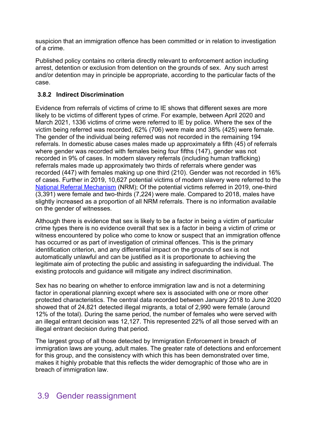suspicion that an immigration offence has been committed or in relation to investigation of a crime.

Published policy contains no criteria directly relevant to enforcement action including arrest, detention or exclusion from detention on the grounds of sex. Any such arrest and/or detention may in principle be appropriate, according to the particular facts of the case.

#### **3.8.2 Indirect Discrimination**

Evidence from referrals of victims of crime to IE shows that different sexes are more likely to be victims of different types of crime. For example, between April 2020 and March 2021, 1336 victims of crime were referred to IE by police. Where the sex of the victim being referred was recorded, 62% (706) were male and 38% (425) were female. The gender of the individual being referred was not recorded in the remaining 194 referrals. In domestic abuse cases males made up approximately a fifth (45) of referrals where gender was recorded with females being four fifths (147), gender was not recorded in 9% of cases. In modern slavery referrals (including human trafficking) referrals males made up approximately two thirds of referrals where gender was recorded (447) with females making up one third (210). Gender was not recorded in 16% of cases. Further in 2019, 10,627 potential victims of modern slavery were referred to the [National Referral Mechanism](https://www.gov.uk/government/publications/human-trafficking-victims-referral-and-assessment-forms/guidance-on-the-national-referral-mechanism-for-potential-adult-victims-of-modern-slavery-england-and-wales) (NRM); Of the potential victims referred in 2019, one-third (3,391) were female and two-thirds (7,224) were male. Compared to 2018, males have slightly increased as a proportion of all NRM referrals. There is no information available on the gender of witnesses.

Although there is evidence that sex is likely to be a factor in being a victim of particular crime types there is no evidence overall that sex is a factor in being a victim of crime or witness encountered by police who come to know or suspect that an immigration offence has occurred or as part of investigation of criminal offences. This is the primary identification criterion, and any differential impact on the grounds of sex is not automatically unlawful and can be justified as it is proportionate to achieving the legitimate aim of protecting the public and assisting in safeguarding the individual. The existing protocols and guidance will mitigate any indirect discrimination.

Sex has no bearing on whether to enforce immigration law and is not a determining factor in operational planning except where sex is associated with one or more other protected characteristics. The central data recorded between January 2018 to June 2020 showed that of 24,821 detected illegal migrants, a total of 2,990 were female (around 12% of the total). During the same period, the number of females who were served with an illegal entrant decision was 12,127. This represented 22% of all those served with an illegal entrant decision during that period.

The largest group of all those detected by Immigration Enforcement in breach of immigration laws are young, adult males. The greater rate of detections and enforcement for this group, and the consistency with which this has been demonstrated over time, makes it highly probable that this reflects the wider demographic of those who are in breach of immigration law.

## 3.9 Gender reassignment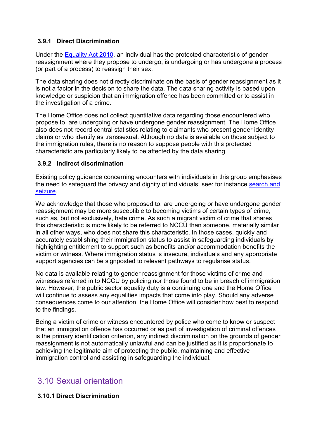#### **3.9.1 Direct Discrimination**

Under the [Equality Act 2010,](http://www.legislation.gov.uk/ukpga/2010/15/contents) an individual has the protected characteristic of gender reassignment where they propose to undergo, is undergoing or has undergone a process (or part of a process) to reassign their sex.

The data sharing does not directly discriminate on the basis of gender reassignment as it is not a factor in the decision to share the data. The data sharing activity is based upon knowledge or suspicion that an immigration offence has been committed or to assist in the investigation of a crime.

The Home Office does not collect quantitative data regarding those encountered who propose to, are undergoing or have undergone gender reassignment. The Home Office also does not record central statistics relating to claimants who present gender identity claims or who identify as transsexual. Although no data is available on those subject to the immigration rules, there is no reason to suppose people with this protected characteristic are particularly likely to be affected by the data sharing

#### **3.9.2 Indirect discrimination**

Existing policy guidance concerning encounters with individuals in this group emphasises the need to safeguard the privacy and dignity of individuals; see: for instance [search and](https://assets.publishing.service.gov.uk/government/uploads/system/uploads/attachment_data/file/578886/Search-and-seizure_v3.pdf)  [seizure.](https://assets.publishing.service.gov.uk/government/uploads/system/uploads/attachment_data/file/578886/Search-and-seizure_v3.pdf)

We acknowledge that those who proposed to, are undergoing or have undergone gender reassignment may be more susceptible to becoming victims of certain types of crime, such as, but not exclusively, hate crime. As such a migrant victim of crime that shares this characteristic is more likely to be referred to NCCU than someone, materially similar in all other ways, who does not share this characteristic. In those cases, quickly and accurately establishing their immigration status to assist in safeguarding individuals by highlighting entitlement to support such as benefits and/or accommodation benefits the victim or witness. Where immigration status is insecure, individuals and any appropriate support agencies can be signposted to relevant pathways to regularise status.

No data is available relating to gender reassignment for those victims of crime and witnesses referred in to NCCU by policing nor those found to be in breach of immigration law. However, the public sector equality duty is a continuing one and the Home Office will continue to assess any equalities impacts that come into play. Should any adverse consequences come to our attention, the Home Office will consider how best to respond to the findings.

Being a victim of crime or witness encountered by police who come to know or suspect that an immigration offence has occurred or as part of investigation of criminal offences is the primary identification criterion, any indirect discrimination on the grounds of gender reassignment is not automatically unlawful and can be justified as it is proportionate to achieving the legitimate aim of protecting the public, maintaining and effective immigration control and assisting in safeguarding the individual.

## 3.10 Sexual orientation

#### **3.10.1 Direct Discrimination**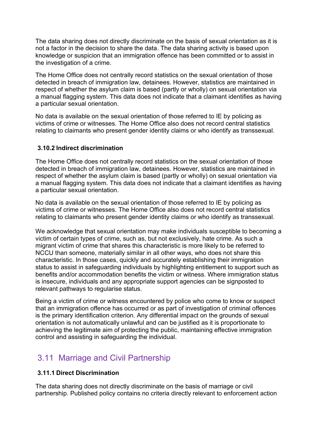The data sharing does not directly discriminate on the basis of sexual orientation as it is not a factor in the decision to share the data. The data sharing activity is based upon knowledge or suspicion that an immigration offence has been committed or to assist in the investigation of a crime.

The Home Office does not centrally record statistics on the sexual orientation of those detected in breach of immigration law, detainees. However, statistics are maintained in respect of whether the asylum claim is based (partly or wholly) on sexual orientation via a manual flagging system. This data does not indicate that a claimant identifies as having a particular sexual orientation.

No data is available on the sexual orientation of those referred to IE by policing as victims of crime or witnesses. The Home Office also does not record central statistics relating to claimants who present gender identity claims or who identify as transsexual.

#### **3.10.2 Indirect discrimination**

The Home Office does not centrally record statistics on the sexual orientation of those detected in breach of immigration law, detainees. However, statistics are maintained in respect of whether the asylum claim is based (partly or wholly) on sexual orientation via a manual flagging system. This data does not indicate that a claimant identifies as having a particular sexual orientation.

No data is available on the sexual orientation of those referred to IE by policing as victims of crime or witnesses. The Home Office also does not record central statistics relating to claimants who present gender identity claims or who identify as transsexual.

We acknowledge that sexual orientation may make individuals susceptible to becoming a victim of certain types of crime, such as, but not exclusively, hate crime. As such a migrant victim of crime that shares this characteristic is more likely to be referred to NCCU than someone, materially similar in all other ways, who does not share this characteristic. In those cases, quickly and accurately establishing their immigration status to assist in safeguarding individuals by highlighting entitlement to support such as benefits and/or accommodation benefits the victim or witness. Where immigration status is insecure, individuals and any appropriate support agencies can be signposted to relevant pathways to regularise status.

Being a victim of crime or witness encountered by police who come to know or suspect that an immigration offence has occurred or as part of investigation of criminal offences is the primary identification criterion. Any differential impact on the grounds of sexual orientation is not automatically unlawful and can be justified as it is proportionate to achieving the legitimate aim of protecting the public, maintaining effective immigration control and assisting in safeguarding the individual.

## 3.11 Marriage and Civil Partnership

#### **3.11.1 Direct Discrimination**

The data sharing does not directly discriminate on the basis of marriage or civil partnership. Published policy contains no criteria directly relevant to enforcement action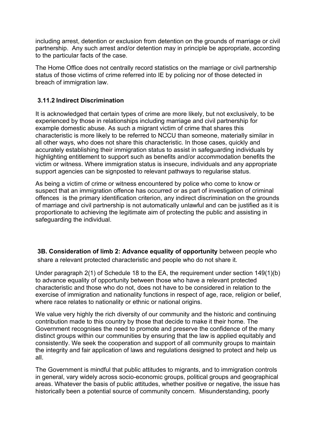including arrest, detention or exclusion from detention on the grounds of marriage or civil partnership. Any such arrest and/or detention may in principle be appropriate, according to the particular facts of the case.

The Home Office does not centrally record statistics on the marriage or civil partnership status of those victims of crime referred into IE by policing nor of those detected in breach of immigration law.

#### **3.11.2 Indirect Discrimination**

It is acknowledged that certain types of crime are more likely, but not exclusively, to be experienced by those in relationships including marriage and civil partnership for example domestic abuse. As such a migrant victim of crime that shares this characteristic is more likely to be referred to NCCU than someone, materially similar in all other ways, who does not share this characteristic. In those cases, quickly and accurately establishing their immigration status to assist in safeguarding individuals by highlighting entitlement to support such as benefits and/or accommodation benefits the victim or witness. Where immigration status is insecure, individuals and any appropriate support agencies can be signposted to relevant pathways to regularise status.

As being a victim of crime or witness encountered by police who come to know or suspect that an immigration offence has occurred or as part of investigation of criminal offences is the primary identification criterion, any indirect discrimination on the grounds of marriage and civil partnership is not automatically unlawful and can be justified as it is proportionate to achieving the legitimate aim of protecting the public and assisting in safeguarding the individual.

**3B. Consideration of limb 2: Advance equality of opportunity** between people who share a relevant protected characteristic and people who do not share it.

Under paragraph 2(1) of Schedule 18 to the EA, the requirement under section 149(1)(b) to advance equality of opportunity between those who have a relevant protected characteristic and those who do not, does not have to be considered in relation to the exercise of immigration and nationality functions in respect of age, race, religion or belief, where race relates to nationality or ethnic or national origins.

We value very highly the rich diversity of our community and the historic and continuing contribution made to this country by those that decide to make it their home. The Government recognises the need to promote and preserve the confidence of the many distinct groups within our communities by ensuring that the law is applied equitably and consistently. We seek the cooperation and support of all community groups to maintain the integrity and fair application of laws and regulations designed to protect and help us all.

The Government is mindful that public attitudes to migrants, and to immigration controls in general, vary widely across socio-economic groups, political groups and geographical areas. Whatever the basis of public attitudes, whether positive or negative, the issue has historically been a potential source of community concern. Misunderstanding, poorly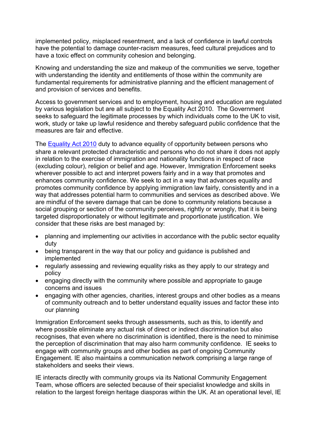implemented policy, misplaced resentment, and a lack of confidence in lawful controls have the potential to damage counter-racism measures, feed cultural prejudices and to have a toxic effect on community cohesion and belonging.

Knowing and understanding the size and makeup of the communities we serve, together with understanding the identity and entitlements of those within the community are fundamental requirements for administrative planning and the efficient management of and provision of services and benefits.

Access to government services and to employment, housing and education are regulated by various legislation but are all subject to the Equality Act 2010. The Government seeks to safeguard the legitimate processes by which individuals come to the UK to visit, work, study or take up lawful residence and thereby safeguard public confidence that the measures are fair and effective.

The **Equality Act 2010** duty to advance equality of opportunity between persons who share a relevant protected characteristic and persons who do not share it does not apply in relation to the exercise of immigration and nationality functions in respect of race (excluding colour), religion or belief and age. However, Immigration Enforcement seeks wherever possible to act and interpret powers fairly and in a way that promotes and enhances community confidence. We seek to act in a way that advances equality and promotes community confidence by applying immigration law fairly, consistently and in a way that addresses potential harm to communities and services as described above. We are mindful of the severe damage that can be done to community relations because a social grouping or section of the community perceives, rightly or wrongly, that it is being targeted disproportionately or without legitimate and proportionate justification. We consider that these risks are best managed by:

- planning and implementing our activities in accordance with the public sector equality duty
- being transparent in the way that our policy and guidance is published and implemented
- regularly assessing and reviewing equality risks as they apply to our strategy and policy
- engaging directly with the community where possible and appropriate to gauge concerns and issues
- engaging with other agencies, charities, interest groups and other bodies as a means of community outreach and to better understand equality issues and factor these into our planning

Immigration Enforcement seeks through assessments, such as this, to identify and where possible eliminate any actual risk of direct or indirect discrimination but also recognises, that even where no discrimination is identified, there is the need to minimise the perception of discrimination that may also harm community confidence. IE seeks to engage with community groups and other bodies as part of ongoing Community Engagement. IE also maintains a communication network comprising a large range of stakeholders and seeks their views.

IE interacts directly with community groups via its National Community Engagement Team, whose officers are selected because of their specialist knowledge and skills in relation to the largest foreign heritage diasporas within the UK. At an operational level, IE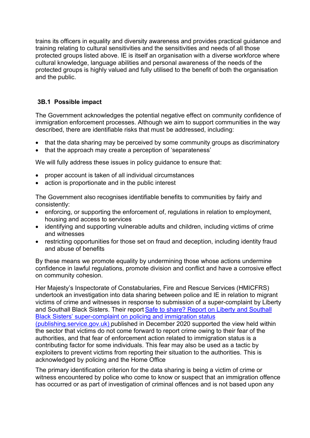trains its officers in equality and diversity awareness and provides practical guidance and training relating to cultural sensitivities and the sensitivities and needs of all those protected groups listed above. IE is itself an organisation with a diverse workforce where cultural knowledge, language abilities and personal awareness of the needs of the protected groups is highly valued and fully utilised to the benefit of both the organisation and the public.

#### **3B.1 Possible impact**

The Government acknowledges the potential negative effect on community confidence of immigration enforcement processes. Although we aim to support communities in the way described, there are identifiable risks that must be addressed, including:

- that the data sharing may be perceived by some community groups as discriminatory
- that the approach may create a perception of 'separateness'

We will fully address these issues in policy quidance to ensure that:

- proper account is taken of all individual circumstances
- action is proportionate and in the public interest

The Government also recognises identifiable benefits to communities by fairly and consistently:

- enforcing, or supporting the enforcement of, regulations in relation to employment, housing and access to services
- identifying and supporting vulnerable adults and children, including victims of crime and witnesses
- restricting opportunities for those set on fraud and deception, including identity fraud and abuse of benefits

By these means we promote equality by undermining those whose actions undermine confidence in lawful regulations, promote division and conflict and have a corrosive effect on community cohesion.

Her Majesty's Inspectorate of Constabularies, Fire and Rescue Services (HMICFRS) undertook an investigation into data sharing between police and IE in relation to migrant victims of crime and witnesses in response to submission of a super-complaint by Liberty and Southall Black Sisters. Their report [Safe to share? Report on Liberty and Southall](https://assets.publishing.service.gov.uk/government/uploads/system/uploads/attachment_data/file/945314/safe-to-share-liberty-southall-black-sisters-super-complaint-policing-immigration-status.pdf)  Black Sisters' super[-complaint on policing and immigration status](https://assets.publishing.service.gov.uk/government/uploads/system/uploads/attachment_data/file/945314/safe-to-share-liberty-southall-black-sisters-super-complaint-policing-immigration-status.pdf) 

[\(publishing.service.gov.uk\)](https://assets.publishing.service.gov.uk/government/uploads/system/uploads/attachment_data/file/945314/safe-to-share-liberty-southall-black-sisters-super-complaint-policing-immigration-status.pdf) published in December 2020 supported the view held within the sector that victims do not come forward to report crime owing to their fear of the authorities, and that fear of enforcement action related to immigration status is a contributing factor for some individuals. This fear may also be used as a tactic by exploiters to prevent victims from reporting their situation to the authorities. This is acknowledged by policing and the Home Office

The primary identification criterion for the data sharing is being a victim of crime or witness encountered by police who come to know or suspect that an immigration offence has occurred or as part of investigation of criminal offences and is not based upon any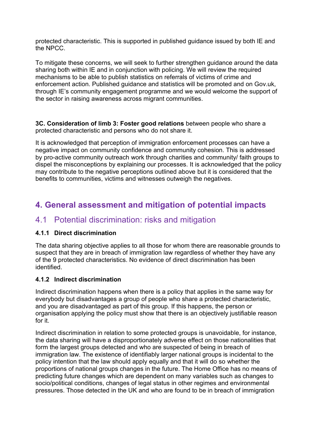protected characteristic. This is supported in published guidance issued by both IE and the NPCC.

To mitigate these concerns, we will seek to further strengthen guidance around the data sharing both within IE and in conjunction with policing. We will review the required mechanisms to be able to publish statistics on referrals of victims of crime and enforcement action. Published guidance and statistics will be promoted and on Gov.uk, through IE's community engagement programme and we would welcome the support of the sector in raising awareness across migrant communities.

**3C. Consideration of limb 3: Foster good relations** between people who share a protected characteristic and persons who do not share it.

It is acknowledged that perception of immigration enforcement processes can have a negative impact on community confidence and community cohesion. This is addressed by pro-active community outreach work through charities and community/ faith groups to dispel the misconceptions by explaining our processes. It is acknowledged that the policy may contribute to the negative perceptions outlined above but it is considered that the benefits to communities, victims and witnesses outweigh the negatives.

## **4. General assessment and mitigation of potential impacts**

### 4.1 Potential discrimination: risks and mitigation

#### **4.1.1 Direct discrimination**

The data sharing objective applies to all those for whom there are reasonable grounds to suspect that they are in breach of immigration law regardless of whether they have any of the 9 protected characteristics. No evidence of direct discrimination has been identified.

#### **4.1.2 Indirect discrimination**

Indirect discrimination happens when there is a policy that applies in the same way for everybody but disadvantages a group of people who share a protected characteristic, and you are disadvantaged as part of this group. If this happens, the person or organisation applying the policy must show that there is an objectively justifiable reason for it.

Indirect discrimination in relation to some protected groups is unavoidable, for instance, the data sharing will have a disproportionately adverse effect on those nationalities that form the largest groups detected and who are suspected of being in breach of immigration law. The existence of identifiably larger national groups is incidental to the policy intention that the law should apply equally and that it will do so whether the proportions of national groups changes in the future. The Home Office has no means of predicting future changes which are dependent on many variables such as changes to socio/political conditions, changes of legal status in other regimes and environmental pressures. Those detected in the UK and who are found to be in breach of immigration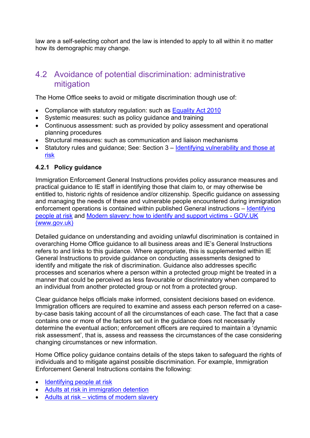law are a self-selecting cohort and the law is intended to apply to all within it no matter how its demographic may change.

### <span id="page-21-0"></span>4.2 Avoidance of potential discrimination: administrative mitigation

The Home Office seeks to avoid or mitigate discrimination though use of:

- Compliance with statutory regulation: such as [Equality Act 2010](http://www.legislation.gov.uk/ukpga/2010/15/contents)
- Systemic measures: such as policy guidance and training
- Continuous assessment: such as provided by policy assessment and operational planning procedures
- Structural measures: such as communication and liaison mechanisms
- Statutory rules and guidance; See: Section 3 Identifying vulnerability and those at [risk](#page-7-0)

#### **4.2.1 Policy guidance**

Immigration Enforcement General Instructions provides policy assurance measures and practical guidance to IE staff in identifying those that claim to, or may otherwise be entitled to, historic rights of residence and/or citizenship. Specific guidance on assessing and managing the needs of these and vulnerable people encountered during immigration enforcement operations is contained within published General instructions – Identifying [people at risk](https://assets.publishing.service.gov.uk/government/uploads/system/uploads/attachment_data/file/866071/identifying-people-at-risk-_enforcement_-v2.0_ext.pdf) and [Modern slavery: how to identify and support victims -](https://www.gov.uk/government/publications/modern-slavery-how-to-identify-and-support-victims) GOV.UK [\(www.gov.uk\)](https://www.gov.uk/government/publications/modern-slavery-how-to-identify-and-support-victims)

Detailed guidance on understanding and avoiding unlawful discrimination is contained in overarching Home Office guidance to all business areas and IE's General Instructions refers to and links to this guidance. Where appropriate, this is supplemented within IE General Instructions to provide guidance on conducting assessments designed to identify and mitigate the risk of discrimination. Guidance also addresses specific processes and scenarios where a person within a protected group might be treated in a manner that could be perceived as less favourable or discriminatory when compared to an individual from another protected group or not from a protected group.

Clear guidance helps officials make informed, consistent decisions based on evidence. Immigration officers are required to examine and assess each person referred on a caseby-case basis taking account of all the circumstances of each case. The fact that a case contains one or more of the factors set out in the guidance does not necessarily determine the eventual action; enforcement officers are required to maintain a 'dynamic risk assessment', that is, assess and reassess the circumstances of the case considering changing circumstances or new information.

Home Office policy guidance contains details of the steps taken to safeguard the rights of individuals and to mitigate against possible discrimination. For example, Immigration Enforcement General Instructions contains the following:

- [Identifying people at risk](https://assets.publishing.service.gov.uk/government/uploads/system/uploads/attachment_data/file/866071/identifying-people-at-risk-_enforcement_-v2.0_ext.pdf)
- [Adults at risk in immigration detention](https://assets.publishing.service.gov.uk/government/uploads/system/uploads/attachment_data/file/919791/adults-at-risk-policy-v5.0ext.pdf)
- Adults at risk [victims of modern slavery](https://assets.publishing.service.gov.uk/government/uploads/system/uploads/attachment_data/file/1031899/Adults_at_risk_Detention_of_victims_of_modern_slavery.pdf)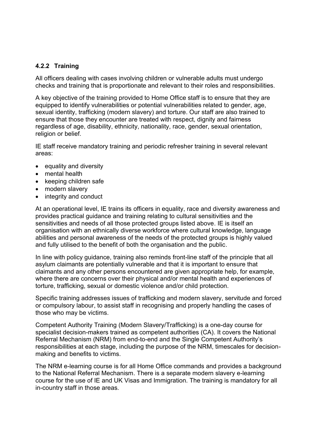#### **4.2.2 Training**

All officers dealing with cases involving children or vulnerable adults must undergo checks and training that is proportionate and relevant to their roles and responsibilities.

A key objective of the training provided to Home Office staff is to ensure that they are equipped to identify vulnerabilities or potential vulnerabilities related to gender, age, sexual identity, trafficking (modern slavery) and torture. Our staff are also trained to ensure that those they encounter are treated with respect, dignity and fairness regardless of age, disability, ethnicity, nationality, race, gender, sexual orientation, religion or belief.

IE staff receive mandatory training and periodic refresher training in several relevant areas:

- equality and diversity
- mental health
- keeping children safe
- modern slavery
- integrity and conduct

At an operational level, IE trains its officers in equality, race and diversity awareness and provides practical guidance and training relating to cultural sensitivities and the sensitivities and needs of all those protected groups listed above. IE is itself an organisation with an ethnically diverse workforce where cultural knowledge, language abilities and personal awareness of the needs of the protected groups is highly valued and fully utilised to the benefit of both the organisation and the public.

In line with policy guidance, training also reminds front-line staff of the principle that all asylum claimants are potentially vulnerable and that it is important to ensure that claimants and any other persons encountered are given appropriate help, for example, where there are concerns over their physical and/or mental health and experiences of torture, trafficking, sexual or domestic violence and/or child protection.

Specific training addresses issues of trafficking and modern slavery, servitude and forced or compulsory labour, to assist staff in recognising and properly handling the cases of those who may be victims.

Competent Authority Training (Modern Slavery/Trafficking) is a one-day course for specialist decision-makers trained as competent authorities (CA). It covers the National Referral Mechanism (NRM) from end-to-end and the Single Competent Authority's responsibilities at each stage, including the purpose of the NRM, timescales for decisionmaking and benefits to victims.

The NRM e-learning course is for all Home Office commands and provides a background to the National Referral Mechanism. There is a separate modern slavery e-learning course for the use of IE and UK Visas and Immigration. The training is mandatory for all in-country staff in those areas.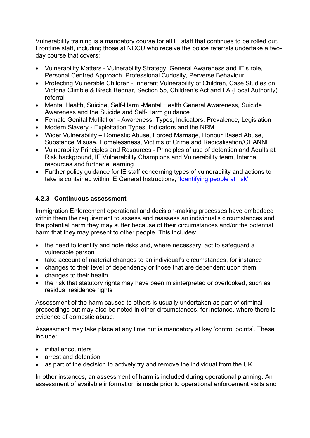Vulnerability training is a mandatory course for all IE staff that continues to be rolled out. Frontline staff, including those at NCCU who receive the police referrals undertake a twoday course that covers:

- Vulnerability Matters Vulnerability Strategy, General Awareness and IE's role, Personal Centred Approach, Professional Curiosity, Perverse Behaviour
- Protecting Vulnerable Children Inherent Vulnerability of Children, Case Studies on Victoria Climbie & Breck Bednar, Section 55, Children's Act and LA (Local Authority) referral
- Mental Health, Suicide, Self-Harm -Mental Health General Awareness, Suicide Awareness and the Suicide and Self-Harm guidance
- Female Genital Mutilation Awareness, Types, Indicators, Prevalence, Legislation
- Modern Slavery Exploitation Types, Indicators and the NRM
- Wider Vulnerability Domestic Abuse, Forced Marriage, Honour Based Abuse, Substance Misuse, Homelessness, Victims of Crime and Radicalisation/CHANNEL
- Vulnerability Principles and Resources Principles of use of detention and Adults at Risk background, IE Vulnerability Champions and Vulnerability team, Internal resources and further eLearning
- Further policy guidance for IE staff concerning types of vulnerability and actions to take is contained within IE General Instructions, ['Identifying people at risk'](https://assets.publishing.service.gov.uk/government/uploads/system/uploads/attachment_data/file/866071/identifying-people-at-risk-_enforcement_-v2.0_ext.pdf)

#### **4.2.3 Continuous assessment**

Immigration Enforcement operational and decision-making processes have embedded within them the requirement to assess and reassess an individual's circumstances and the potential harm they may suffer because of their circumstances and/or the potential harm that they may present to other people. This includes:

- the need to identify and note risks and, where necessary, act to safeguard a vulnerable person
- take account of material changes to an individual's circumstances, for instance
- changes to their level of dependency or those that are dependent upon them
- changes to their health
- the risk that statutory rights may have been misinterpreted or overlooked, such as residual residence rights

Assessment of the harm caused to others is usually undertaken as part of criminal proceedings but may also be noted in other circumstances, for instance, where there is evidence of domestic abuse.

Assessment may take place at any time but is mandatory at key 'control points'. These include:

- initial encounters
- arrest and detention
- as part of the decision to actively try and remove the individual from the UK

In other instances, an assessment of harm is included during operational planning. An assessment of available information is made prior to operational enforcement visits and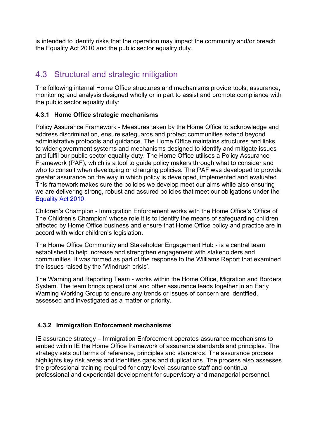is intended to identify risks that the operation may impact the community and/or breach the Equality Act 2010 and the public sector equality duty.

# 4.3 Structural and strategic mitigation

The following internal Home Office structures and mechanisms provide tools, assurance, monitoring and analysis designed wholly or in part to assist and promote compliance with the public sector equality duty:

#### **4.3.1 Home Office strategic mechanisms**

Policy Assurance Framework - Measures taken by the Home Office to acknowledge and address discrimination, ensure safeguards and protect communities extend beyond administrative protocols and guidance. The Home Office maintains structures and links to wider government systems and mechanisms designed to identify and mitigate issues and fulfil our public sector equality duty. The Home Office utilises a Policy Assurance Framework (PAF), which is a tool to guide policy makers through what to consider and who to consult when developing or changing policies. The PAF was developed to provide greater assurance on the way in which policy is developed, implemented and evaluated. This framework makes sure the policies we develop meet our aims while also ensuring we are delivering strong, robust and assured policies that meet our obligations under the [Equality Act 2010.](http://www.legislation.gov.uk/ukpga/2010/15/contents)

Children's Champion - Immigration Enforcement works with the Home Office's 'Office of The Children's Champion' whose role it is to identify the means of safeguarding children affected by Home Office business and ensure that Home Office policy and practice are in accord with wider children's legislation.

The Home Office Community and Stakeholder Engagement Hub - is a central team established to help increase and strengthen engagement with stakeholders and communities. It was formed as part of the response to the Williams Report that examined the issues raised by the 'Windrush crisis'.

The Warning and Reporting Team - works within the Home Office, Migration and Borders System. The team brings operational and other assurance leads together in an Early Warning Working Group to ensure any trends or issues of concern are identified, assessed and investigated as a matter or priority.

#### **4.3.2 Immigration Enforcement mechanisms**

IE assurance strategy – Immigration Enforcement operates assurance mechanisms to embed within IE the Home Office framework of assurance standards and principles. The strategy sets out terms of reference, principles and standards. The assurance process highlights key risk areas and identifies gaps and duplications. The process also assesses the professional training required for entry level assurance staff and continual professional and experiential development for supervisory and managerial personnel.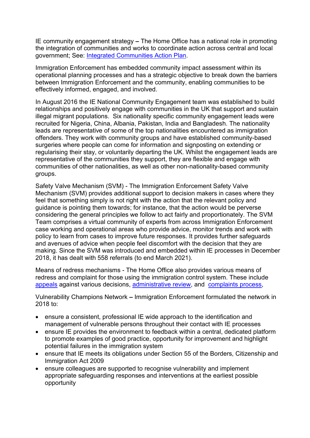IE community engagement strategy **–** The Home Office has a national role in promoting the integration of communities and works to coordinate action across central and local government; See: [Integrated Communities Action Plan.](https://www.gov.uk/government/publications/integrated-communities-action-plan)

Immigration Enforcement has embedded community impact assessment within its operational planning processes and has a strategic objective to break down the barriers between Immigration Enforcement and the community, enabling communities to be effectively informed, engaged, and involved.

In August 2016 the IE National Community Engagement team was established to build relationships and positively engage with communities in the UK that support and sustain illegal migrant populations. Six nationality specific community engagement leads were recruited for Nigeria, China, Albania, Pakistan, India and Bangladesh. The nationality leads are representative of some of the top nationalities encountered as immigration offenders. They work with community groups and have established community-based surgeries where people can come for information and signposting on extending or regularising their stay, or voluntarily departing the UK. Whilst the engagement leads are representative of the communities they support, they are flexible and engage with communities of other nationalities, as well as other non-nationality-based community groups.

Safety Valve Mechanism (SVM) - The Immigration Enforcement Safety Valve Mechanism (SVM) provides additional support to decision makers in cases where they feel that something simply is not right with the action that the relevant policy and guidance is pointing them towards; for instance, that the action would be perverse considering the general principles we follow to act fairly and proportionately. The SVM Team comprises a virtual community of experts from across Immigration Enforcement case working and operational areas who provide advice, monitor trends and work with policy to learn from cases to improve future responses. It provides further safeguards and avenues of advice when people feel discomfort with the decision that they are making. Since the SVM was introduced and embedded within IE processes in December 2018, it has dealt with 558 referrals (to end March 2021).

Means of redress mechanisms - The Home Office also provides various means of redress and complaint for those using the immigration control system. These include [appeals](https://www.gov.uk/immigration-asylum-tribunal) against various decisions, [administrative review,](https://www.gov.uk/ask-for-a-visa-administrative-review) and [complaints process,](https://www.gov.uk/government/organisations/uk-visas-and-immigration/about/complaints-procedure)

Vulnerability Champions Network **–** Immigration Enforcement formulated the network in 2018 to:

- ensure a consistent, professional IE wide approach to the identification and management of vulnerable persons throughout their contact with IE processes
- ensure IE provides the environment to feedback within a central, dedicated platform to promote examples of good practice, opportunity for improvement and highlight potential failures in the immigration system
- ensure that IE meets its obligations under Section 55 of the Borders, Citizenship and Immigration Act 2009
- ensure colleagues are supported to recognise vulnerability and implement appropriate safeguarding responses and interventions at the earliest possible opportunity